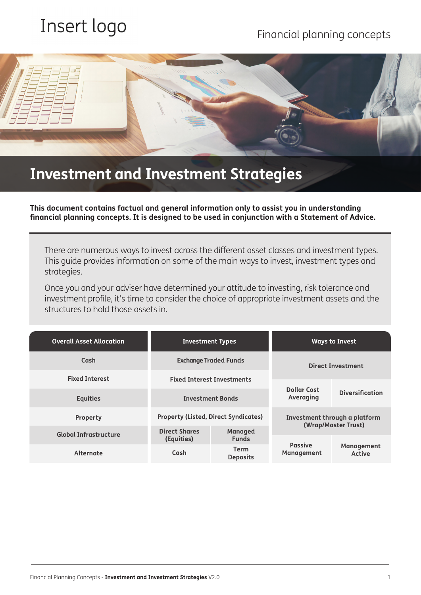# Insert logo

## Financial planning concepts



## **Investment and Investment Strategies**

**This document contains factual and general information only to assist you in understanding financial planning concepts. It is designed to be used in conjunction with a Statement of Advice.** 

There are numerous ways to invest across the different asset classes and investment types. This guide provides information on some of the main ways to invest, investment types and strategies.

Once you and your adviser have determined your attitude to investing, risk tolerance and investment profile, it's time to consider the choice of appropriate investment assets and the structures to hold those assets in.

| <b>Overall Asset Allocation</b> | <b>Investment Types</b>                     |                                | <b>Ways to Invest</b>                                |                                    |
|---------------------------------|---------------------------------------------|--------------------------------|------------------------------------------------------|------------------------------------|
| Cash                            | <b>Exchange Traded Funds</b>                |                                | <b>Direct Investment</b>                             |                                    |
| <b>Fixed Interest</b>           | <b>Fixed Interest Investments</b>           |                                |                                                      |                                    |
| <b>Equities</b>                 | <b>Investment Bonds</b>                     |                                | <b>Dollar Cost</b><br>Averaging                      | <b>Diversification</b>             |
| Property                        | <b>Property (Listed, Direct Syndicates)</b> |                                | Investment through a platform<br>(Wrap/Master Trust) |                                    |
| Global Infrastructure           | <b>Direct Shares</b><br>(Equities)          | <b>Managed</b><br><b>Funds</b> |                                                      |                                    |
| <b>Alternate</b>                | Cash                                        | Term<br><b>Deposits</b>        | <b>Passive</b><br><b>Management</b>                  | <b>Management</b><br><b>Active</b> |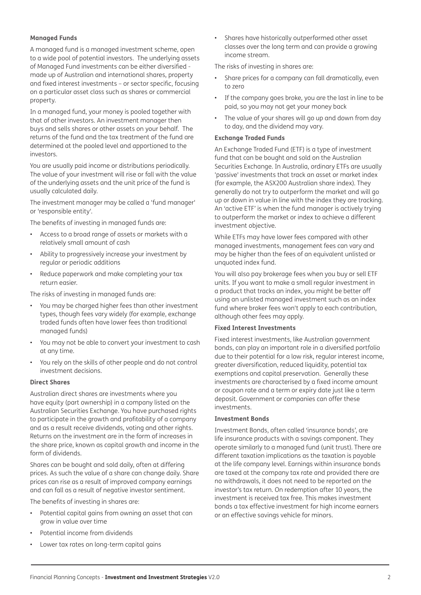#### **Managed Funds**

A managed fund is a managed investment scheme, open to a wide pool of potential investors. The underlying assets of Managed Fund investments can be either diversified made up of Australian and international shares, property and fixed interest investments – or sector specific, focusing on a particular asset class such as shares or commercial property.

In a managed fund, your money is pooled together with that of other investors. An investment manager then buys and sells shares or other assets on your behalf. The returns of the fund and the tax treatment of the fund are determined at the pooled level and apportioned to the investors.

You are usually paid income or distributions periodically. The value of your investment will rise or fall with the value of the underlying assets and the unit price of the fund is usually calculated daily.

The investment manager may be called a 'fund manager' or 'responsible entity'.

The benefits of investing in managed funds are:

- Access to a broad range of assets or markets with a relatively small amount of cash
- Ability to progressively increase your investment by regular or periodic additions
- Reduce paperwork and make completing your tax return easier.

The risks of investing in managed funds are:

- You may be charged higher fees than other investment types, though fees vary widely (for example, exchange traded funds often have lower fees than traditional managed funds)
- You may not be able to convert your investment to cash at any time.
- You rely on the skills of other people and do not control investment decisions.

#### **Direct Shares**

Australian direct shares are investments where you have equity (part ownership) in a company listed on the Australian Securities Exchange. You have purchased rights to participate in the growth and profitability of a company and as a result receive dividends, voting and other rights. Returns on the investment are in the form of increases in the share price, known as capital growth and income in the form of dividends.

Shares can be bought and sold daily, often at differing prices. As such the value of a share can change daily. Share prices can rise as a result of improved company earnings and can fall as a result of negative investor sentiment.

The benefits of investing in shares are:

- Potential capital gains from owning an asset that can grow in value over time
- Potential income from dividends
- Lower tax rates on long-term capital gains

• Shares have historically outperformed other asset classes over the long term and can provide a growing income stream.

The risks of investing in shares are:

- Share prices for a company can fall dramatically, even to zero
- If the company goes broke, you are the last in line to be paid, so you may not get your money back
- The value of your shares will go up and down from day to day, and the dividend may vary.

#### **Exchange Traded Funds**

An Exchange Traded Fund (ETF) is a type of investment fund that can be bought and sold on the Australian Securities Exchange. In Australia, ordinary ETFs are usually 'passive' investments that track an asset or market index (for example, the ASX200 Australian share index). They generally do not try to outperform the market and will go up or down in value in line with the index they are tracking. An 'active ETF' is when the fund manager is actively trying to outperform the market or index to achieve a different investment objective.

While ETFs may have lower fees compared with other managed investments, management fees can vary and may be higher than the fees of an equivalent unlisted or unquoted index fund.

You will also pay brokerage fees when you buy or sell ETF units. If you want to make a small regular investment in a product that tracks an index, you might be better off using an unlisted managed investment such as an index fund where broker fees won't apply to each contribution, although other fees may apply.

#### **Fixed Interest Investments**

Fixed interest investments, like Australian government bonds, can play an important role in a diversified portfolio due to their potential for a low risk, regular interest income, greater diversification, reduced liquidity, potential tax exemptions and capital preservation. Generally these investments are characterised by a fixed income amount or coupon rate and a term or expiry date just like a term deposit. Government or companies can offer these investments.

#### **Investment Bonds**

Investment Bonds, often called 'insurance bonds', are life insurance products with a savings component. They operate similarly to a managed fund (unit trust). There are different taxation implications as the taxation is payable at the life company level. Earnings within insurance bonds are taxed at the company tax rate and provided there are no withdrawals, it does not need to be reported on the investor's tax return. On redemption after 10 years, the investment is received tax free. This makes investment bonds a tax effective investment for high income earners or an effective savings vehicle for minors.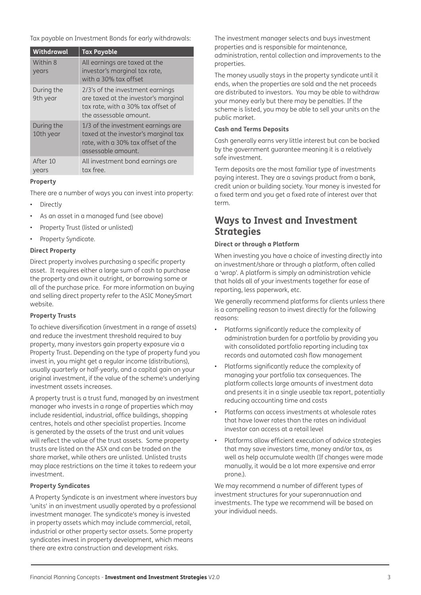Tax payable on Investment Bonds for early withdrawals:

| Withdrawal              | <b>Tax Payable</b>                                                                                                                       |
|-------------------------|------------------------------------------------------------------------------------------------------------------------------------------|
| Within 8<br>years       | All earnings are taxed at the<br>investor's marginal tax rate,<br>with a 30% tax offset                                                  |
| During the<br>9th year  | 2/3's of the investment earnings<br>are taxed at the investor's marginal<br>tax rate, with a 30% tax offset of<br>the assessable amount. |
| During the<br>10th year | 1/3 of the investment earnings are<br>taxed at the investor's marginal tax<br>rate, with a 30% tax offset of the<br>assessable amount.   |
| After 10<br>vears       | All investment bond earnings are<br>tax free.                                                                                            |

#### **Property**

There are a number of ways you can invest into property:

- **Directly**
- As an asset in a managed fund (see above)
- Property Trust (listed or unlisted)
- Property Syndicate.

#### **Direct Property**

Direct property involves purchasing a specific property asset. It requires either a large sum of cash to purchase the property and own it outright, or borrowing some or all of the purchase price. For more information on buying and selling direct property refer to the ASIC MoneySmart website.

#### **Property Trusts**

To achieve diversification (investment in a range of assets) and reduce the investment threshold required to buy property, many investors gain property exposure via a Property Trust. Depending on the type of property fund you invest in, you might get a regular income (distributions), usually quarterly or half-yearly, and a capital gain on your original investment, if the value of the scheme's underlying investment assets increases.

A property trust is a trust fund, managed by an investment manager who invests in a range of properties which may include residential, industrial, office buildings, shopping centres, hotels and other specialist properties. Income is generated by the assets of the trust and unit values will reflect the value of the trust assets. Some property trusts are listed on the ASX and can be traded on the share market, while others are unlisted. Unlisted trusts may place restrictions on the time it takes to redeem your investment.

#### **Property Syndicates**

A Property Syndicate is an investment where investors buy 'units' in an investment usually operated by a professional investment manager. The syndicate's money is invested in property assets which may include commercial, retail, industrial or other property sector assets. Some property syndicates invest in property development, which means there are extra construction and development risks.

The investment manager selects and buys investment properties and is responsible for maintenance, administration, rental collection and improvements to the properties.

The money usually stays in the property syndicate until it ends, when the properties are sold and the net proceeds are distributed to investors. You may be able to withdraw your money early but there may be penalties. If the scheme is listed, you may be able to sell your units on the public market.

#### **Cash and Terms Deposits**

Cash generally earns very little interest but can be backed by the government guarantee meaning it is a relatively safe investment.

Term deposits are the most familiar type of investments paying interest. They are a savings product from a bank, credit union or building society. Your money is invested for a fixed term and you get a fixed rate of interest over that term.

### **Ways to Invest and Investment Strategies**

#### **Direct or through a Platform**

When investing you have a choice of investing directly into an investment/share or through a platform, often called a 'wrap'. A platform is simply an administration vehicle that holds all of your investments together for ease of reporting, less paperwork, etc.

We generally recommend platforms for clients unless there is a compelling reason to invest directly for the following reasons:

- Platforms significantly reduce the complexity of administration burden for a portfolio by providing you with consolidated portfolio reporting including tax records and automated cash flow management
- Platforms significantly reduce the complexity of managing your portfolio tax consequences. The platform collects large amounts of investment data and presents it in a single useable tax report, potentially reducing accounting time and costs
- Platforms can access investments at wholesale rates that have lower rates than the rates an individual investor can access at a retail level
- Platforms allow efficient execution of advice strategies that may save investors time, money and/or tax, as well as help accumulate wealth (If changes were made manually, it would be a lot more expensive and error prone.).

We may recommend a number of different types of investment structures for your superannuation and investments. The type we recommend will be based on your individual needs.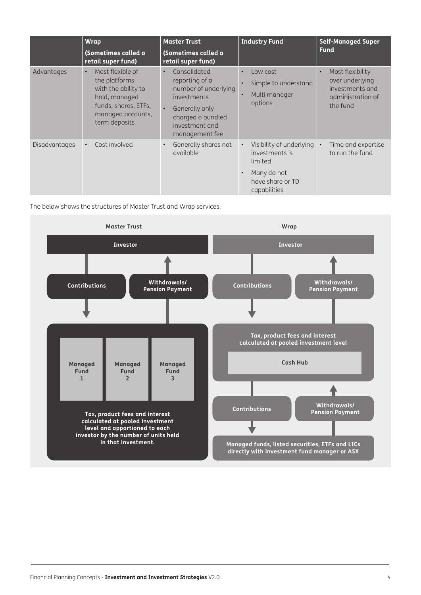|               | <b>Wrap</b><br>(Sometimes called a<br>retail super fund)                                                                                             | <b>Master Trust</b><br>(Sometimes called a<br>retail super fund)                                                                                                           | <b>Industry Fund</b>                                                                                                                 | <b>Self-Managed Super</b><br><b>Fund</b>                                                             |
|---------------|------------------------------------------------------------------------------------------------------------------------------------------------------|----------------------------------------------------------------------------------------------------------------------------------------------------------------------------|--------------------------------------------------------------------------------------------------------------------------------------|------------------------------------------------------------------------------------------------------|
| Advantages    | Most flexible of<br>$\bullet$<br>the platforms<br>with the ability to<br>hold, managed<br>funds, shares, ETFs,<br>managed accounts,<br>term deposits | Consolidated<br>$\bullet$<br>reporting of a<br>number of underlying<br>investments<br>Generally only<br>$\bullet$<br>charged a bundled<br>investment and<br>management fee | Low cost<br>$\bullet$<br>Simple to understand<br>Multi manager<br>$\bullet$<br>options                                               | Most flexibility<br>$\bullet$<br>over underlying<br>investments and<br>administration of<br>the fund |
| Disadvantages | Cost involved                                                                                                                                        | Generally shares not<br>$\bullet$<br>available                                                                                                                             | Visibility of underlying •<br>$\bullet$<br>investments is<br>limited<br>Many do not<br>$\bullet$<br>have share or TD<br>capabilities | Time and expertise<br>to run the fund                                                                |

The below shows the structures of Master Trust and Wrap services.

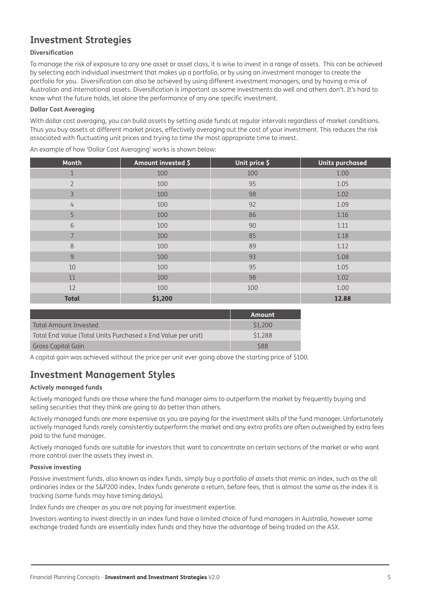## **Investment Strategies**

#### **Diversification**

To manage the risk of exposure to any one asset or asset class, it is wise to invest in a range of assets. This can be achieved by selecting each individual investment that makes up a portfolio, or by using an investment manager to create the portfolio for you. Diversification can also be achieved by using different investment managers, and by having a mix of Australian and international assets. Diversification is important as some investments do well and others don't. It's hard to know what the future holds, let alone the performance of any one specific investment.

#### **Dollar Cost Averaging**

With dollar cost averaging, you can build assets by setting aside funds at regular intervals regardless of market conditions. Thus you buy assets at different market prices, effectively averaging out the cost of your investment. This reduces the risk associated with fluctuating unit prices and trying to time the most appropriate time to invest.

| Month          | Amount invested \$ | Unit price \$ | <b>Units purchased</b> |
|----------------|--------------------|---------------|------------------------|
| $\mathbf{1}$   | 100                | 100           | 1.00                   |
| $\overline{2}$ | 100                | 95            | 1.05                   |
| 3              | 100                | 98            | 1.02                   |
| $\overline{4}$ | 100                | 92            | 1.09                   |
| 5              | 100                | 86            | 1.16                   |
| 6              | 100                | 90            | 1.11                   |
| $\overline{7}$ | 100                | 85            | 1.18                   |
| $\,8\,$        | 100                | 89            | 1.12                   |
| 9              | 100                | 93            | 1.08                   |
| 10             | 100                | 95            | 1.05                   |
| 11             | 100                | 98            | 1.02                   |
| 12             | 100                | 100           | 1.00                   |
| <b>Total</b>   | \$1,200            |               | 12.88                  |
|                |                    |               |                        |
|                |                    | <b>Amount</b> |                        |

An example of how 'Dollar Cost Averaging' works is shown below:

|                                                              | . Amount   |
|--------------------------------------------------------------|------------|
| Total Amount Invested                                        | \$1,200    |
| Total End Value (Total Units Purchased x End Value per unit) | \$1,288    |
| Gross Capital Gain                                           | <b>S88</b> |

A capital gain was achieved without the price per unit ever going above the starting price of \$100.

## **Investment Management Styles**

#### **Actively managed funds**

Actively managed funds are those where the fund manager aims to outperform the market by frequently buying and selling securities that they think are going to do better than others.

Actively managed funds are more expensive as you are paying for the investment skills of the fund manager. Unfortunately actively managed funds rarely consistently outperform the market and any extra profits are often outweighed by extra fees paid to the fund manager.

Actively managed funds are suitable for investors that want to concentrate on certain sections of the market or who want more control over the assets they invest in.

#### **Passive investing**

Passive investment funds, also known as index funds, simply buy a portfolio of assets that mimic an index, such as the all ordinaries index or the S&P200 index. Index funds generate a return, before fees, that is almost the same as the index it is tracking (some funds may have timing delays).

Index funds are cheaper as you are not paying for investment expertise.

Investors wanting to invest directly in an index fund have a limited choice of fund managers in Australia, however some exchange traded funds are essentially index funds and they have the advantage of being traded on the ASX.